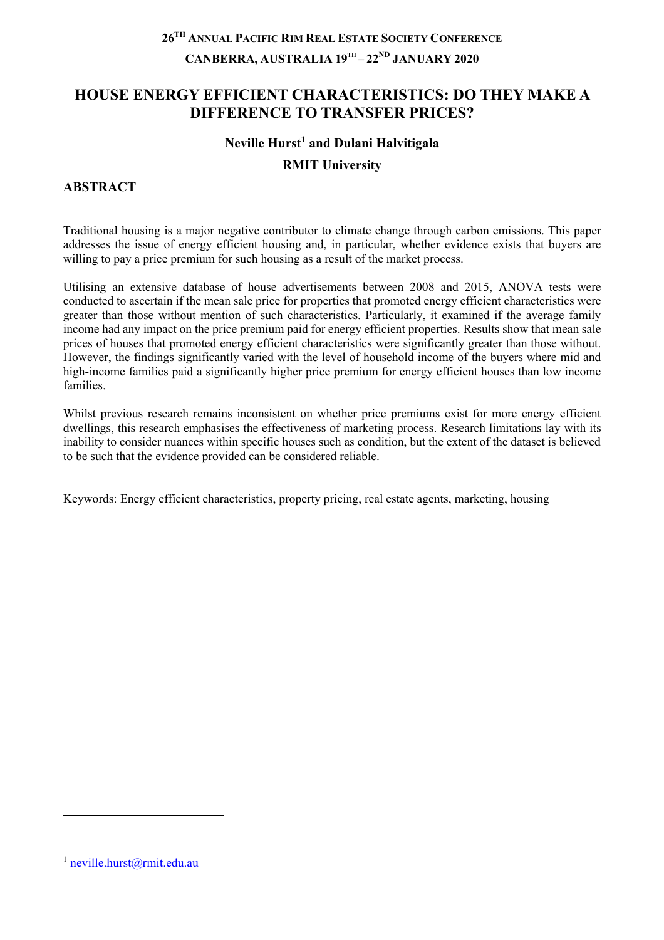# **26TH ANNUAL PACIFIC RIM REAL ESTATE SOCIETY CONFERENCE CANBERRA, AUSTRALIA 19TH – 22ND JANUARY 2020**

# **HOUSE ENERGY EFFICIENT CHARACTERISTICS: DO THEY MAKE A DIFFERENCE TO TRANSFER PRICES?**

### **Neville Hurst1 and Dulani Halvitigala**

### **RMIT University**

## **ABSTRACT**

Traditional housing is a major negative contributor to climate change through carbon emissions. This paper addresses the issue of energy efficient housing and, in particular, whether evidence exists that buyers are willing to pay a price premium for such housing as a result of the market process.

Utilising an extensive database of house advertisements between 2008 and 2015, ANOVA tests were conducted to ascertain if the mean sale price for properties that promoted energy efficient characteristics were greater than those without mention of such characteristics. Particularly, it examined if the average family income had any impact on the price premium paid for energy efficient properties. Results show that mean sale prices of houses that promoted energy efficient characteristics were significantly greater than those without. However, the findings significantly varied with the level of household income of the buyers where mid and high-income families paid a significantly higher price premium for energy efficient houses than low income families.

Whilst previous research remains inconsistent on whether price premiums exist for more energy efficient dwellings, this research emphasises the effectiveness of marketing process. Research limitations lay with its inability to consider nuances within specific houses such as condition, but the extent of the dataset is believed to be such that the evidence provided can be considered reliable.

Keywords: Energy efficient characteristics, property pricing, real estate agents, marketing, housing

 $^1$  neville.hurst@rmit.edu.au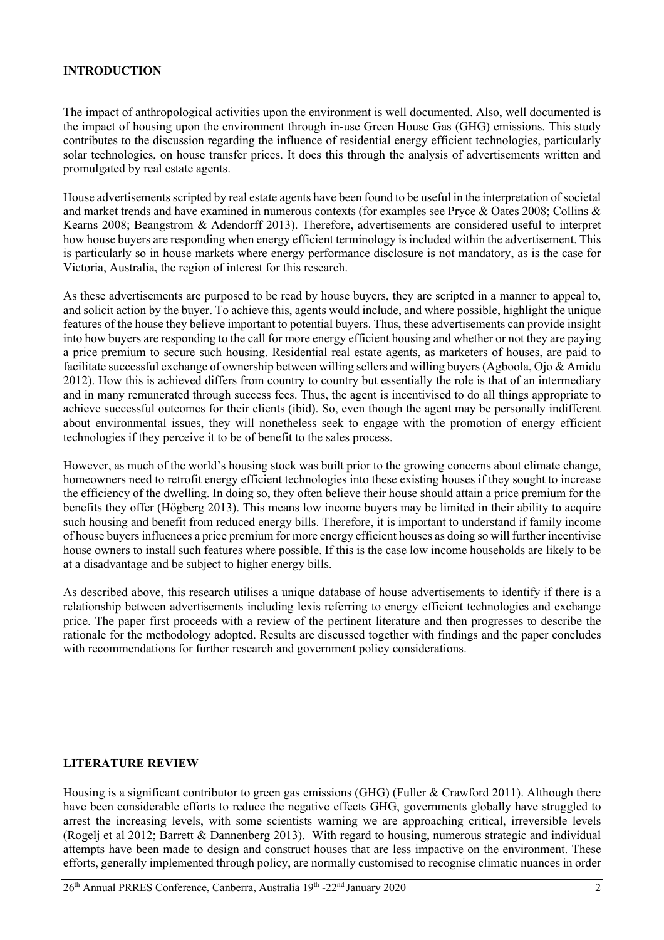### **INTRODUCTION**

The impact of anthropological activities upon the environment is well documented. Also, well documented is the impact of housing upon the environment through in-use Green House Gas (GHG) emissions. This study contributes to the discussion regarding the influence of residential energy efficient technologies, particularly solar technologies, on house transfer prices. It does this through the analysis of advertisements written and promulgated by real estate agents.

House advertisements scripted by real estate agents have been found to be useful in the interpretation of societal and market trends and have examined in numerous contexts (for examples see Pryce & Oates 2008; Collins & Kearns 2008; Beangstrom & Adendorff 2013). Therefore, advertisements are considered useful to interpret how house buyers are responding when energy efficient terminology is included within the advertisement. This is particularly so in house markets where energy performance disclosure is not mandatory, as is the case for Victoria, Australia, the region of interest for this research.

As these advertisements are purposed to be read by house buyers, they are scripted in a manner to appeal to, and solicit action by the buyer. To achieve this, agents would include, and where possible, highlight the unique features of the house they believe important to potential buyers. Thus, these advertisements can provide insight into how buyers are responding to the call for more energy efficient housing and whether or not they are paying a price premium to secure such housing. Residential real estate agents, as marketers of houses, are paid to facilitate successful exchange of ownership between willing sellers and willing buyers (Agboola, Ojo & Amidu 2012). How this is achieved differs from country to country but essentially the role is that of an intermediary and in many remunerated through success fees. Thus, the agent is incentivised to do all things appropriate to achieve successful outcomes for their clients (ibid). So, even though the agent may be personally indifferent about environmental issues, they will nonetheless seek to engage with the promotion of energy efficient technologies if they perceive it to be of benefit to the sales process.

However, as much of the world's housing stock was built prior to the growing concerns about climate change, homeowners need to retrofit energy efficient technologies into these existing houses if they sought to increase the efficiency of the dwelling. In doing so, they often believe their house should attain a price premium for the benefits they offer (Högberg 2013). This means low income buyers may be limited in their ability to acquire such housing and benefit from reduced energy bills. Therefore, it is important to understand if family income of house buyers influences a price premium for more energy efficient houses as doing so will further incentivise house owners to install such features where possible. If this is the case low income households are likely to be at a disadvantage and be subject to higher energy bills.

As described above, this research utilises a unique database of house advertisements to identify if there is a relationship between advertisements including lexis referring to energy efficient technologies and exchange price. The paper first proceeds with a review of the pertinent literature and then progresses to describe the rationale for the methodology adopted. Results are discussed together with findings and the paper concludes with recommendations for further research and government policy considerations.

### **LITERATURE REVIEW**

Housing is a significant contributor to green gas emissions (GHG) (Fuller & Crawford 2011). Although there have been considerable efforts to reduce the negative effects GHG, governments globally have struggled to arrest the increasing levels, with some scientists warning we are approaching critical, irreversible levels (Rogelj et al 2012; Barrett & Dannenberg 2013). With regard to housing, numerous strategic and individual attempts have been made to design and construct houses that are less impactive on the environment. These efforts, generally implemented through policy, are normally customised to recognise climatic nuances in order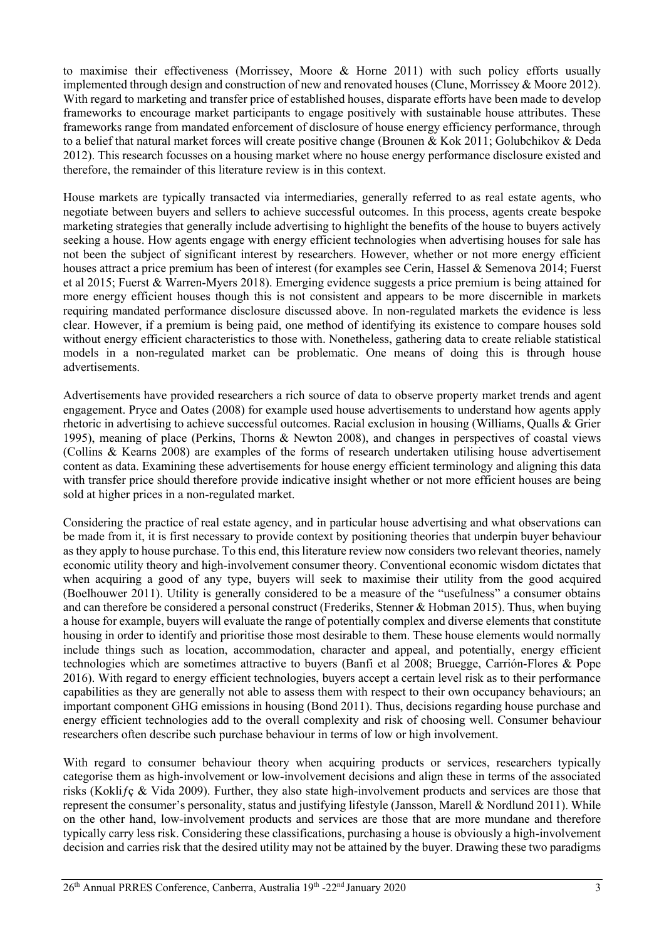to maximise their effectiveness (Morrissey, Moore & Horne 2011) with such policy efforts usually implemented through design and construction of new and renovated houses (Clune, Morrissey & Moore 2012). With regard to marketing and transfer price of established houses, disparate efforts have been made to develop frameworks to encourage market participants to engage positively with sustainable house attributes. These frameworks range from mandated enforcement of disclosure of house energy efficiency performance, through to a belief that natural market forces will create positive change (Brounen & Kok 2011; Golubchikov & Deda 2012). This research focusses on a housing market where no house energy performance disclosure existed and therefore, the remainder of this literature review is in this context.

House markets are typically transacted via intermediaries, generally referred to as real estate agents, who negotiate between buyers and sellers to achieve successful outcomes. In this process, agents create bespoke marketing strategies that generally include advertising to highlight the benefits of the house to buyers actively seeking a house. How agents engage with energy efficient technologies when advertising houses for sale has not been the subject of significant interest by researchers. However, whether or not more energy efficient houses attract a price premium has been of interest (for examples see Cerin, Hassel & Semenova 2014; Fuerst et al 2015; Fuerst & Warren-Myers 2018). Emerging evidence suggests a price premium is being attained for more energy efficient houses though this is not consistent and appears to be more discernible in markets requiring mandated performance disclosure discussed above. In non-regulated markets the evidence is less clear. However, if a premium is being paid, one method of identifying its existence to compare houses sold without energy efficient characteristics to those with. Nonetheless, gathering data to create reliable statistical models in a non-regulated market can be problematic. One means of doing this is through house advertisements.

Advertisements have provided researchers a rich source of data to observe property market trends and agent engagement. Pryce and Oates (2008) for example used house advertisements to understand how agents apply rhetoric in advertising to achieve successful outcomes. Racial exclusion in housing (Williams, Qualls & Grier 1995), meaning of place (Perkins, Thorns & Newton 2008), and changes in perspectives of coastal views (Collins & Kearns 2008) are examples of the forms of research undertaken utilising house advertisement content as data. Examining these advertisements for house energy efficient terminology and aligning this data with transfer price should therefore provide indicative insight whether or not more efficient houses are being sold at higher prices in a non-regulated market.

Considering the practice of real estate agency, and in particular house advertising and what observations can be made from it, it is first necessary to provide context by positioning theories that underpin buyer behaviour as they apply to house purchase. To this end, this literature review now considers two relevant theories, namely economic utility theory and high-involvement consumer theory. Conventional economic wisdom dictates that when acquiring a good of any type, buyers will seek to maximise their utility from the good acquired (Boelhouwer 2011). Utility is generally considered to be a measure of the "usefulness" a consumer obtains and can therefore be considered a personal construct (Frederiks, Stenner & Hobman 2015). Thus, when buying a house for example, buyers will evaluate the range of potentially complex and diverse elements that constitute housing in order to identify and prioritise those most desirable to them. These house elements would normally include things such as location, accommodation, character and appeal, and potentially, energy efficient technologies which are sometimes attractive to buyers (Banfi et al 2008; Bruegge, Carrión-Flores & Pope 2016). With regard to energy efficient technologies, buyers accept a certain level risk as to their performance capabilities as they are generally not able to assess them with respect to their own occupancy behaviours; an important component GHG emissions in housing (Bond 2011). Thus, decisions regarding house purchase and energy efficient technologies add to the overall complexity and risk of choosing well. Consumer behaviour researchers often describe such purchase behaviour in terms of low or high involvement.

With regard to consumer behaviour theory when acquiring products or services, researchers typically categorise them as high-involvement or low-involvement decisions and align these in terms of the associated risks (Koklifc & Vida 2009). Further, they also state high-involvement products and services are those that represent the consumer's personality, status and justifying lifestyle (Jansson, Marell & Nordlund 2011). While on the other hand, low-involvement products and services are those that are more mundane and therefore typically carry less risk. Considering these classifications, purchasing a house is obviously a high-involvement decision and carries risk that the desired utility may not be attained by the buyer. Drawing these two paradigms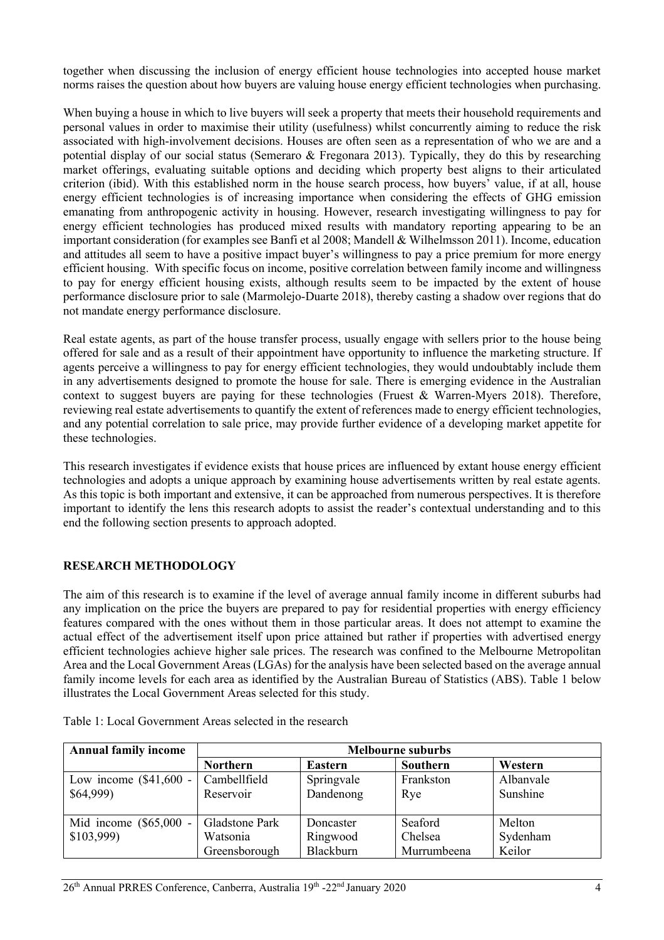together when discussing the inclusion of energy efficient house technologies into accepted house market norms raises the question about how buyers are valuing house energy efficient technologies when purchasing.

When buying a house in which to live buyers will seek a property that meets their household requirements and personal values in order to maximise their utility (usefulness) whilst concurrently aiming to reduce the risk associated with high-involvement decisions. Houses are often seen as a representation of who we are and a potential display of our social status (Semeraro & Fregonara 2013). Typically, they do this by researching market offerings, evaluating suitable options and deciding which property best aligns to their articulated criterion (ibid). With this established norm in the house search process, how buyers' value, if at all, house energy efficient technologies is of increasing importance when considering the effects of GHG emission emanating from anthropogenic activity in housing. However, research investigating willingness to pay for energy efficient technologies has produced mixed results with mandatory reporting appearing to be an important consideration (for examples see Banfi et al 2008; Mandell & Wilhelmsson 2011). Income, education and attitudes all seem to have a positive impact buyer's willingness to pay a price premium for more energy efficient housing. With specific focus on income, positive correlation between family income and willingness to pay for energy efficient housing exists, although results seem to be impacted by the extent of house performance disclosure prior to sale (Marmolejo-Duarte 2018), thereby casting a shadow over regions that do not mandate energy performance disclosure.

Real estate agents, as part of the house transfer process, usually engage with sellers prior to the house being offered for sale and as a result of their appointment have opportunity to influence the marketing structure. If agents perceive a willingness to pay for energy efficient technologies, they would undoubtably include them in any advertisements designed to promote the house for sale. There is emerging evidence in the Australian context to suggest buyers are paying for these technologies (Fruest & Warren-Myers 2018). Therefore, reviewing real estate advertisements to quantify the extent of references made to energy efficient technologies, and any potential correlation to sale price, may provide further evidence of a developing market appetite for these technologies.

This research investigates if evidence exists that house prices are influenced by extant house energy efficient technologies and adopts a unique approach by examining house advertisements written by real estate agents. As this topic is both important and extensive, it can be approached from numerous perspectives. It is therefore important to identify the lens this research adopts to assist the reader's contextual understanding and to this end the following section presents to approach adopted.

### **RESEARCH METHODOLOGY**

The aim of this research is to examine if the level of average annual family income in different suburbs had any implication on the price the buyers are prepared to pay for residential properties with energy efficiency features compared with the ones without them in those particular areas. It does not attempt to examine the actual effect of the advertisement itself upon price attained but rather if properties with advertised energy efficient technologies achieve higher sale prices. The research was confined to the Melbourne Metropolitan Area and the Local Government Areas (LGAs) for the analysis have been selected based on the average annual family income levels for each area as identified by the Australian Bureau of Statistics (ABS). Table 1 below illustrates the Local Government Areas selected for this study.

| <b>Annual family income</b>           | <b>Melbourne suburbs</b>                    |                                    |                                   |                              |  |  |  |  |
|---------------------------------------|---------------------------------------------|------------------------------------|-----------------------------------|------------------------------|--|--|--|--|
|                                       | <b>Northern</b>                             | <b>Eastern</b>                     | Southern                          | Western                      |  |  |  |  |
| Low income $(\$41,600 -$<br>\$64,999  | Cambellfield<br>Reservoir                   | Springvale<br>Dandenong            | Frankston<br>Rye                  | Albanvale<br>Sunshine        |  |  |  |  |
| Mid income $(\$65,000 -$<br>\$103,999 | Gladstone Park<br>Watsonia<br>Greensborough | Doncaster<br>Ringwood<br>Blackburn | Seaford<br>Chelsea<br>Murrumbeena | Melton<br>Sydenham<br>Keilor |  |  |  |  |

|  | Table 1: Local Government Areas selected in the research |  |  |
|--|----------------------------------------------------------|--|--|
|--|----------------------------------------------------------|--|--|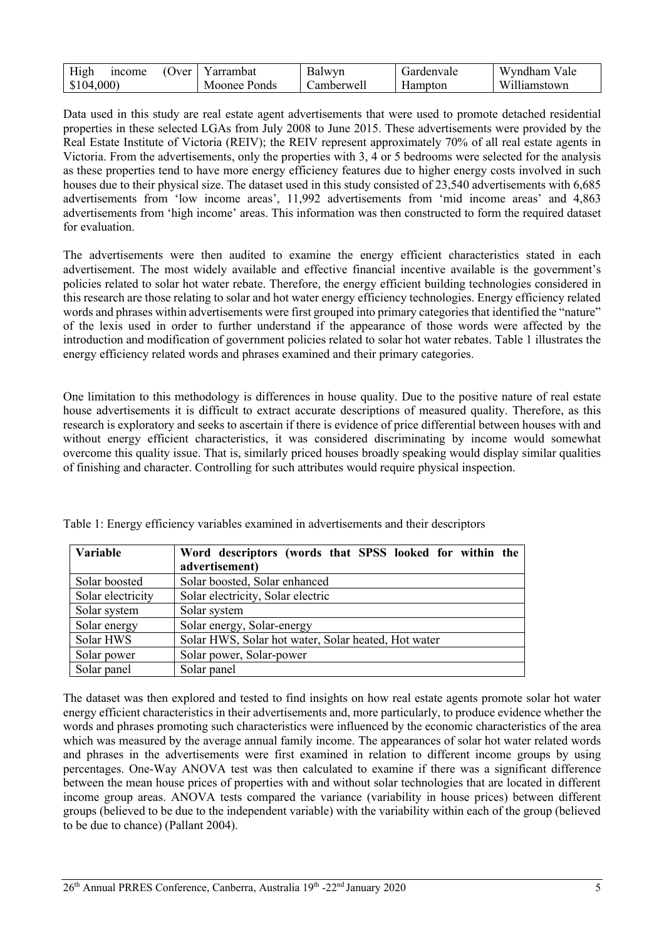| High      | <i>n</i> come | (Over | Y arrambat   | Balwyn     | Gardenvale | Wyndham Vale |
|-----------|---------------|-------|--------------|------------|------------|--------------|
| \$104,000 |               |       | Moonee Ponds | ∴amberwell | Hampton    | Williamstown |

Data used in this study are real estate agent advertisements that were used to promote detached residential properties in these selected LGAs from July 2008 to June 2015. These advertisements were provided by the Real Estate Institute of Victoria (REIV); the REIV represent approximately 70% of all real estate agents in Victoria. From the advertisements, only the properties with 3, 4 or 5 bedrooms were selected for the analysis as these properties tend to have more energy efficiency features due to higher energy costs involved in such houses due to their physical size. The dataset used in this study consisted of 23,540 advertisements with 6,685 advertisements from 'low income areas', 11,992 advertisements from 'mid income areas' and 4,863 advertisements from 'high income' areas. This information was then constructed to form the required dataset for evaluation.

The advertisements were then audited to examine the energy efficient characteristics stated in each advertisement. The most widely available and effective financial incentive available is the government's policies related to solar hot water rebate. Therefore, the energy efficient building technologies considered in this research are those relating to solar and hot water energy efficiency technologies. Energy efficiency related words and phrases within advertisements were first grouped into primary categories that identified the "nature" of the lexis used in order to further understand if the appearance of those words were affected by the introduction and modification of government policies related to solar hot water rebates. Table 1 illustrates the energy efficiency related words and phrases examined and their primary categories.

One limitation to this methodology is differences in house quality. Due to the positive nature of real estate house advertisements it is difficult to extract accurate descriptions of measured quality. Therefore, as this research is exploratory and seeks to ascertain if there is evidence of price differential between houses with and without energy efficient characteristics, it was considered discriminating by income would somewhat overcome this quality issue. That is, similarly priced houses broadly speaking would display similar qualities of finishing and character. Controlling for such attributes would require physical inspection.

| Variable          | Word descriptors (words that SPSS looked for within the |  |  |  |  |  |  |
|-------------------|---------------------------------------------------------|--|--|--|--|--|--|
|                   | advertisement)                                          |  |  |  |  |  |  |
| Solar boosted     | Solar boosted, Solar enhanced                           |  |  |  |  |  |  |
| Solar electricity | Solar electricity, Solar electric                       |  |  |  |  |  |  |
| Solar system      | Solar system                                            |  |  |  |  |  |  |
| Solar energy      | Solar energy, Solar-energy                              |  |  |  |  |  |  |
| Solar HWS         | Solar HWS, Solar hot water, Solar heated, Hot water     |  |  |  |  |  |  |
| Solar power       | Solar power, Solar-power                                |  |  |  |  |  |  |
| Solar panel       | Solar panel                                             |  |  |  |  |  |  |

Table 1: Energy efficiency variables examined in advertisements and their descriptors

The dataset was then explored and tested to find insights on how real estate agents promote solar hot water energy efficient characteristics in their advertisements and, more particularly, to produce evidence whether the words and phrases promoting such characteristics were influenced by the economic characteristics of the area which was measured by the average annual family income. The appearances of solar hot water related words and phrases in the advertisements were first examined in relation to different income groups by using percentages. One-Way ANOVA test was then calculated to examine if there was a significant difference between the mean house prices of properties with and without solar technologies that are located in different income group areas. ANOVA tests compared the variance (variability in house prices) between different groups (believed to be due to the independent variable) with the variability within each of the group (believed to be due to chance) (Pallant 2004).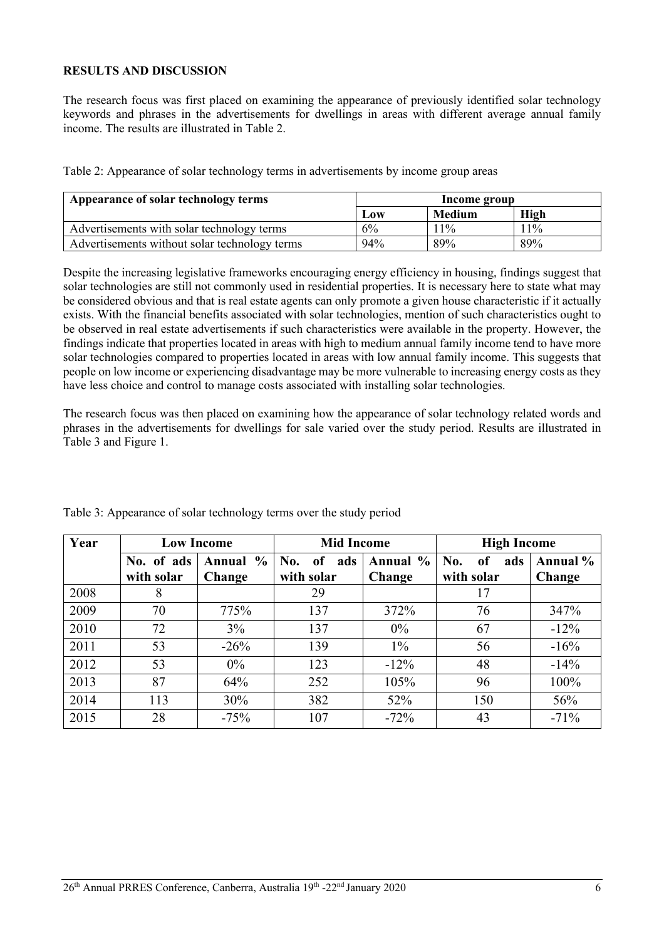### **RESULTS AND DISCUSSION**

The research focus was first placed on examining the appearance of previously identified solar technology keywords and phrases in the advertisements for dwellings in areas with different average annual family income. The results are illustrated in Table 2.

| Table 2: Appearance of solar technology terms in advertisements by income group areas |  |  |
|---------------------------------------------------------------------------------------|--|--|
|                                                                                       |  |  |

| Appearance of solar technology terms          | Income group |               |        |  |
|-----------------------------------------------|--------------|---------------|--------|--|
|                                               | Low          | <b>Medium</b> | High   |  |
| Advertisements with solar technology terms    | 6%           | $11\%$        | $11\%$ |  |
| Advertisements without solar technology terms | 94%          | 89%           | 89%    |  |

Despite the increasing legislative frameworks encouraging energy efficiency in housing, findings suggest that solar technologies are still not commonly used in residential properties. It is necessary here to state what may be considered obvious and that is real estate agents can only promote a given house characteristic if it actually exists. With the financial benefits associated with solar technologies, mention of such characteristics ought to be observed in real estate advertisements if such characteristics were available in the property. However, the findings indicate that properties located in areas with high to medium annual family income tend to have more solar technologies compared to properties located in areas with low annual family income. This suggests that people on low income or experiencing disadvantage may be more vulnerable to increasing energy costs as they have less choice and control to manage costs associated with installing solar technologies.

The research focus was then placed on examining how the appearance of solar technology related words and phrases in the advertisements for dwellings for sale varied over the study period. Results are illustrated in Table 3 and Figure 1.

| Year |                          | <b>Low Income</b>  | <b>Mid Income</b>                         |                    | <b>High Income</b>                        |                    |  |
|------|--------------------------|--------------------|-------------------------------------------|--------------------|-------------------------------------------|--------------------|--|
|      | No. of ads<br>with solar | Annual %<br>Change | No.<br><sub>of</sub><br>ads<br>with solar | Annual %<br>Change | No.<br><sub>of</sub><br>ads<br>with solar | Annual %<br>Change |  |
| 2008 | 8                        |                    | 29                                        |                    | 17                                        |                    |  |
| 2009 | 70                       | 775%               | 137                                       | 372%               | 76                                        | 347%               |  |
| 2010 | 72                       | 3%                 | 137                                       | $0\%$              | 67                                        | $-12%$             |  |
| 2011 | 53                       | $-26%$             | 139                                       | $1\%$              | 56                                        | $-16%$             |  |
| 2012 | 53                       | $0\%$              | 123                                       | $-12\%$            | 48                                        | $-14%$             |  |
| 2013 | 87                       | 64%                | 252                                       | 105%               | 96                                        | 100%               |  |
| 2014 | 113                      | 30%                | 382                                       | 52%                | 150                                       | 56%                |  |
| 2015 | 28                       | $-75%$             | 107                                       | $-72%$             | 43                                        | $-71%$             |  |

Table 3: Appearance of solar technology terms over the study period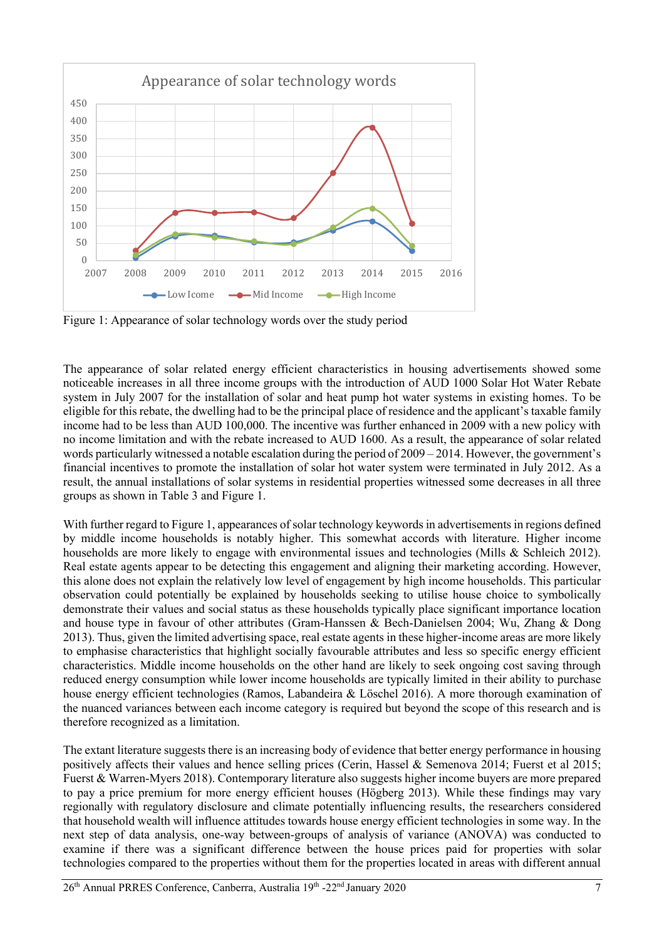

Figure 1: Appearance of solar technology words over the study period

The appearance of solar related energy efficient characteristics in housing advertisements showed some noticeable increases in all three income groups with the introduction of AUD 1000 Solar Hot Water Rebate system in July 2007 for the installation of solar and heat pump hot water systems in existing homes. To be eligible for this rebate, the dwelling had to be the principal place of residence and the applicant's taxable family income had to be less than AUD 100,000. The incentive was further enhanced in 2009 with a new policy with no income limitation and with the rebate increased to AUD 1600. As a result, the appearance of solar related words particularly witnessed a notable escalation during the period of 2009 – 2014. However, the government's financial incentives to promote the installation of solar hot water system were terminated in July 2012. As a result, the annual installations of solar systems in residential properties witnessed some decreases in all three groups as shown in Table 3 and Figure 1.

With further regard to Figure 1, appearances of solar technology keywords in advertisements in regions defined by middle income households is notably higher. This somewhat accords with literature. Higher income households are more likely to engage with environmental issues and technologies (Mills & Schleich 2012). Real estate agents appear to be detecting this engagement and aligning their marketing according. However, this alone does not explain the relatively low level of engagement by high income households. This particular observation could potentially be explained by households seeking to utilise house choice to symbolically demonstrate their values and social status as these households typically place significant importance location and house type in favour of other attributes (Gram‐Hanssen & Bech‐Danielsen 2004; Wu, Zhang & Dong 2013). Thus, given the limited advertising space, real estate agents in these higher-income areas are more likely to emphasise characteristics that highlight socially favourable attributes and less so specific energy efficient characteristics. Middle income households on the other hand are likely to seek ongoing cost saving through reduced energy consumption while lower income households are typically limited in their ability to purchase house energy efficient technologies (Ramos, Labandeira & Löschel 2016). A more thorough examination of the nuanced variances between each income category is required but beyond the scope of this research and is therefore recognized as a limitation.

The extant literature suggests there is an increasing body of evidence that better energy performance in housing positively affects their values and hence selling prices (Cerin, Hassel & Semenova 2014; Fuerst et al 2015; Fuerst & Warren-Myers 2018). Contemporary literature also suggests higher income buyers are more prepared to pay a price premium for more energy efficient houses (Högberg 2013). While these findings may vary regionally with regulatory disclosure and climate potentially influencing results, the researchers considered that household wealth will influence attitudes towards house energy efficient technologies in some way. In the next step of data analysis, one-way between-groups of analysis of variance (ANOVA) was conducted to examine if there was a significant difference between the house prices paid for properties with solar technologies compared to the properties without them for the properties located in areas with different annual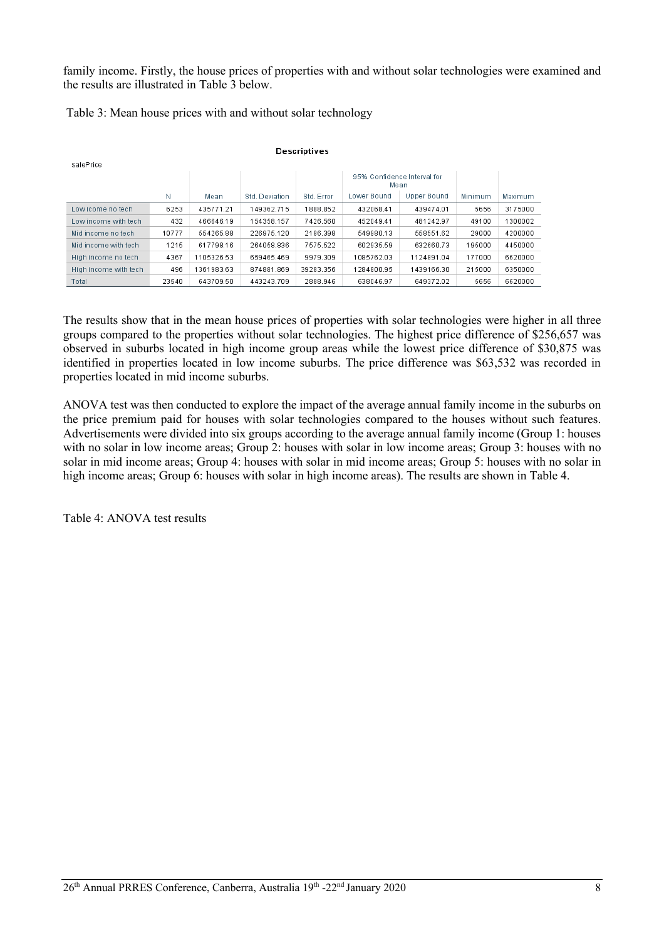family income. Firstly, the house prices of properties with and without solar technologies were examined and the results are illustrated in Table 3 below.

Table 3: Mean house prices with and without solar technology

| salePrice             |       |            |                |            |                                     |             |         |         |  |
|-----------------------|-------|------------|----------------|------------|-------------------------------------|-------------|---------|---------|--|
|                       |       |            |                |            | 95% Confidence Interval for<br>Mean |             |         |         |  |
|                       | Ν     | Mean       | Std. Deviation | Std. Error | Lower Bound                         | Upper Bound | Minimum | Maximum |  |
| Low icome no tech     | 6253  | 435771.21  | 149362.715     | 1888.852   | 432068.41                           | 439474.01   | 5656    | 3175000 |  |
| Low income with tech  | 432   | 466646.19  | 154358.157     | 7426.560   | 452049.41                           | 481242.97   | 49100   | 1300002 |  |
| Mid income no tech    | 10777 | 554265.88  | 226975.120     | 2186.398   | 549980.13                           | 558551.62   | 29000   | 4200000 |  |
| Mid income with tech  | 1215  | 617798.16  | 264058.836     | 7575.522   | 602935.59                           | 632660.73   | 195000  | 4450000 |  |
| High income no tech   | 4367  | 1105326.53 | 659465.469     | 9979.309   | 1085762.03                          | 1124891.04  | 177000  | 6620000 |  |
| High income with tech | 496   | 361983.63  | 874881.869     | 39283.356  | 1284800.95                          | 1439166.30  | 215000  | 6350000 |  |
| Total                 | 23540 | 643709.50  | 443243.709     | 2888.946   | 638046.97                           | 649372.02   | 5656    | 6620000 |  |

#### **Descriptives**

The results show that in the mean house prices of properties with solar technologies were higher in all three groups compared to the properties without solar technologies. The highest price difference of \$256,657 was observed in suburbs located in high income group areas while the lowest price difference of \$30,875 was identified in properties located in low income suburbs. The price difference was \$63,532 was recorded in properties located in mid income suburbs.

ANOVA test was then conducted to explore the impact of the average annual family income in the suburbs on the price premium paid for houses with solar technologies compared to the houses without such features. Advertisements were divided into six groups according to the average annual family income (Group 1: houses with no solar in low income areas; Group 2: houses with solar in low income areas; Group 3: houses with no solar in mid income areas; Group 4: houses with solar in mid income areas; Group 5: houses with no solar in high income areas; Group 6: houses with solar in high income areas). The results are shown in Table 4.

Table 4: ANOVA test results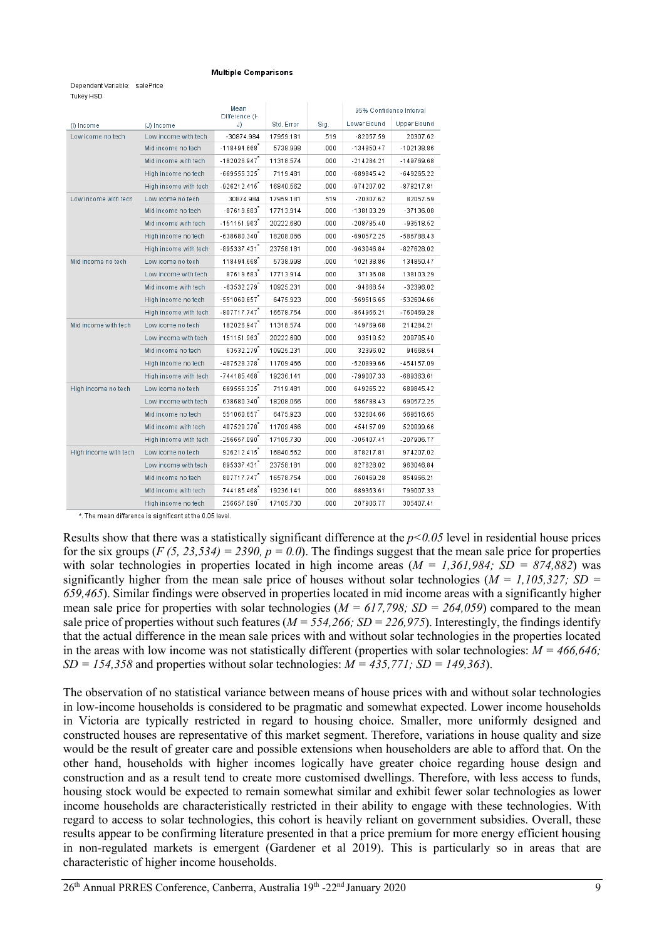#### **Multiple Comparisons**

#### Dependent Variable: salePrice Tukey HSD

|                       |                       | Mean<br>Difference (I- |            |      |              | 95% Confidence Interval |
|-----------------------|-----------------------|------------------------|------------|------|--------------|-------------------------|
| (I) Income            | (J) Income            | J)                     | Std. Error | Sig. | Lower Bound  | <b>Upper Bound</b>      |
| Low icome no tech     | Low income with tech  | $-30874.984$           | 17959.181  | .519 | $-82057.59$  | 20307.62                |
|                       | Mid income no tech    | $-118494.668$          | 5738.998   | .000 | $-134850.47$ | $-102138.86$            |
|                       | Mid income with tech  | $-182026.947$          | 11318.574  | .000 | -214284.21   | -149769.68              |
|                       | High income no tech   | $-669555.325$          | 7119.481   | .000 | $-689845.42$ | $-649265.22$            |
|                       | High income with tech | $-926212.415$          | 16840.562  | .000 | -974207.02   | -878217.81              |
| Low income with tech  | Low icome no tech     | 30874.984              | 17959.181  | .519 | -20307.62    | 82057.59                |
|                       | Mid income no tech    | $-87619.683$           | 17713.914  | .000 | -138103.29   | $-37136.08$             |
|                       | Mid income with tech  | $-151151.963$          | 20222.680  | .000 | $-208785.40$ | $-93518.52$             |
|                       | High income no tech   | $-638680.340$          | 18208.066  | .000 | -690572.25   | -586788.43              |
|                       | High income with tech | $-895337.431$          | 23758.181  | .000 | -963046.84   | -827628.02              |
| Mid income no tech    | Low icome no tech     | 118494.668             | 5738.998   | .000 | 102138.86    | 134850.47               |
|                       | Low income with tech  | 87619.683              | 17713.914  | .000 | 37136.08     | 138103.29               |
|                       | Mid income with tech  | $-63532.279$           | 10925.231  | .000 | $-94668.54$  | -32396.02               |
|                       | High income no tech   | $-551060.657$          | 6475.923   | .000 | $-569516.65$ | $-532604.66$            |
|                       | High income with tech | $-807717.747$          | 16578.754  | .000 | -854966.21   | -760469.28              |
| Mid income with tech  | Low icome no tech     | 182026.947             | 11318.574  | .000 | 149769.68    | 214284.21               |
|                       | Low income with tech  | 151151.963             | 20222.680  | .000 | 93518.52     | 208785.40               |
|                       | Mid income no tech    | 63532.279              | 10925.231  | .000 | 32396.02     | 94668.54                |
|                       | High income no tech   | -487528.378            | 11709.466  | .000 | $-520899.66$ | $-454157.09$            |
|                       | High income with tech | $-744185.468$          | 19236.141  | .000 | -799007.33   | -689363.61              |
| High income no tech   | Low icome no tech     | 669555.325             | 7119.481   | .000 | 649265.22    | 689845.42               |
|                       | Low income with tech  | 638680.340             | 18208.066  | .000 | 586788.43    | 690572.25               |
|                       | Mid income no tech    | 551060.657             | 6475.923   | .000 | 532604.66    | 569516.65               |
|                       | Mid income with tech  | 487528.378             | 11709.466  | .000 | 454157.09    | 520899.66               |
|                       | High income with tech | $-256657.090$          | 17105.730  | .000 | $-305407.41$ | -207906.77              |
| High income with tech | Low icome no tech     | 926212.415             | 16840.562  | .000 | 878217.81    | 974207.02               |
|                       | Low income with tech  | 895337.431             | 23758.181  | .000 | 827628.02    | 963046.84               |
|                       | Mid income no tech    | 807717.747             | 16578.754  | .000 | 760469.28    | 854966.21               |
|                       | Mid income with tech  | 744185.468             | 19236.141  | .000 | 689363.61    | 799007.33               |
|                       | High income no tech   | 256657.090             | 17105.730  | .000 | 207906.77    | 305407.41               |

\*. The mean difference is significant at the 0.05 level.

Results show that there was a statistically significant difference at the  $p<0.05$  level in residential house prices for the six groups (*F (5, 23,534) = 2390, p = 0.0*). The findings suggest that the mean sale price for properties with solar technologies in properties located in high income areas (*M = 1,361,984; SD = 874,882*) was significantly higher from the mean sale price of houses without solar technologies (*M = 1,105,327; SD = 659,465*). Similar findings were observed in properties located in mid income areas with a significantly higher mean sale price for properties with solar technologies ( $M = 617,798$ ;  $SD = 264,059$ ) compared to the mean sale price of properties without such features ( $M = 554,266$ ;  $SD = 226,975$ ). Interestingly, the findings identify that the actual difference in the mean sale prices with and without solar technologies in the properties located in the areas with low income was not statistically different (properties with solar technologies: *M = 466,646; SD = 154,358* and properties without solar technologies: *M = 435,771; SD = 149,363*).

The observation of no statistical variance between means of house prices with and without solar technologies in low-income households is considered to be pragmatic and somewhat expected. Lower income households in Victoria are typically restricted in regard to housing choice. Smaller, more uniformly designed and constructed houses are representative of this market segment. Therefore, variations in house quality and size would be the result of greater care and possible extensions when householders are able to afford that. On the other hand, households with higher incomes logically have greater choice regarding house design and construction and as a result tend to create more customised dwellings. Therefore, with less access to funds, housing stock would be expected to remain somewhat similar and exhibit fewer solar technologies as lower income households are characteristically restricted in their ability to engage with these technologies. With regard to access to solar technologies, this cohort is heavily reliant on government subsidies. Overall, these results appear to be confirming literature presented in that a price premium for more energy efficient housing in non-regulated markets is emergent (Gardener et al 2019). This is particularly so in areas that are characteristic of higher income households.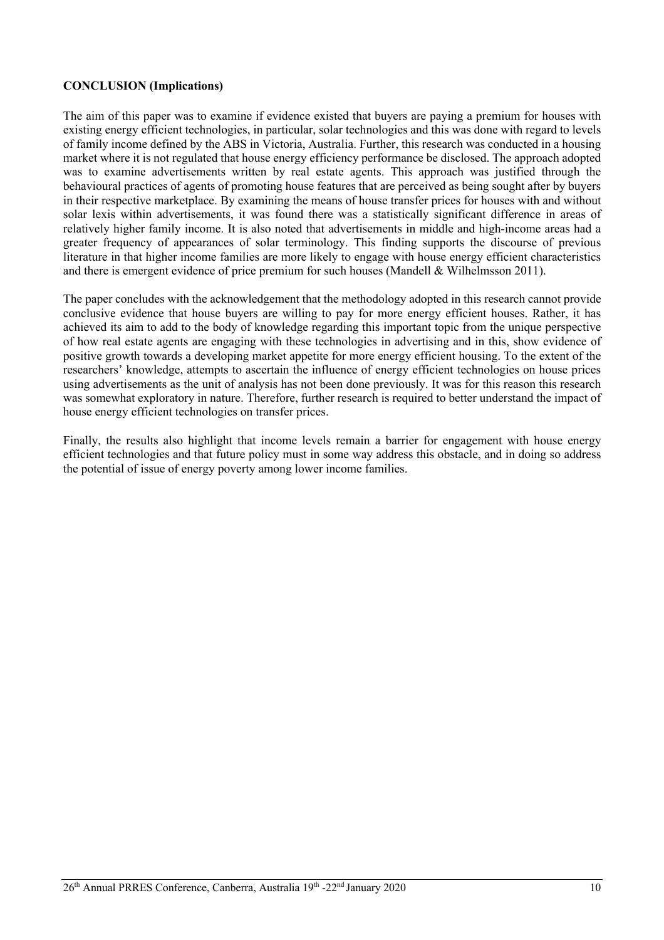#### **CONCLUSION (Implications)**

The aim of this paper was to examine if evidence existed that buyers are paying a premium for houses with existing energy efficient technologies, in particular, solar technologies and this was done with regard to levels of family income defined by the ABS in Victoria, Australia. Further, this research was conducted in a housing market where it is not regulated that house energy efficiency performance be disclosed. The approach adopted was to examine advertisements written by real estate agents. This approach was justified through the behavioural practices of agents of promoting house features that are perceived as being sought after by buyers in their respective marketplace. By examining the means of house transfer prices for houses with and without solar lexis within advertisements, it was found there was a statistically significant difference in areas of relatively higher family income. It is also noted that advertisements in middle and high-income areas had a greater frequency of appearances of solar terminology. This finding supports the discourse of previous literature in that higher income families are more likely to engage with house energy efficient characteristics and there is emergent evidence of price premium for such houses (Mandell & Wilhelmsson 2011).

The paper concludes with the acknowledgement that the methodology adopted in this research cannot provide conclusive evidence that house buyers are willing to pay for more energy efficient houses. Rather, it has achieved its aim to add to the body of knowledge regarding this important topic from the unique perspective of how real estate agents are engaging with these technologies in advertising and in this, show evidence of positive growth towards a developing market appetite for more energy efficient housing. To the extent of the researchers' knowledge, attempts to ascertain the influence of energy efficient technologies on house prices using advertisements as the unit of analysis has not been done previously. It was for this reason this research was somewhat exploratory in nature. Therefore, further research is required to better understand the impact of house energy efficient technologies on transfer prices.

Finally, the results also highlight that income levels remain a barrier for engagement with house energy efficient technologies and that future policy must in some way address this obstacle, and in doing so address the potential of issue of energy poverty among lower income families.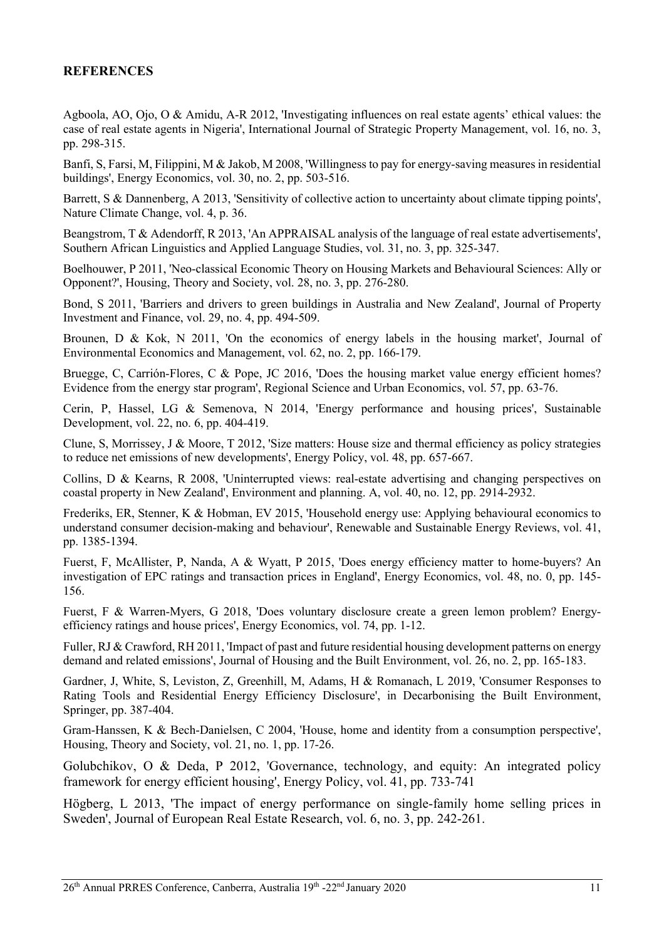## **REFERENCES**

Agboola, AO, Ojo, O & Amidu, A-R 2012, 'Investigating influences on real estate agents' ethical values: the case of real estate agents in Nigeria', International Journal of Strategic Property Management, vol. 16, no. 3, pp. 298-315.

Banfi, S, Farsi, M, Filippini, M & Jakob, M 2008, 'Willingness to pay for energy-saving measures in residential buildings', Energy Economics, vol. 30, no. 2, pp. 503-516.

Barrett, S & Dannenberg, A 2013, 'Sensitivity of collective action to uncertainty about climate tipping points', Nature Climate Change, vol. 4, p. 36.

Beangstrom, T & Adendorff, R 2013, 'An APPRAISAL analysis of the language of real estate advertisements', Southern African Linguistics and Applied Language Studies, vol. 31, no. 3, pp. 325-347.

Boelhouwer, P 2011, 'Neo-classical Economic Theory on Housing Markets and Behavioural Sciences: Ally or Opponent?', Housing, Theory and Society, vol. 28, no. 3, pp. 276-280.

Bond, S 2011, 'Barriers and drivers to green buildings in Australia and New Zealand', Journal of Property Investment and Finance, vol. 29, no. 4, pp. 494-509.

Brounen, D & Kok, N 2011, 'On the economics of energy labels in the housing market', Journal of Environmental Economics and Management, vol. 62, no. 2, pp. 166-179.

Bruegge, C, Carrión-Flores, C & Pope, JC 2016, 'Does the housing market value energy efficient homes? Evidence from the energy star program', Regional Science and Urban Economics, vol. 57, pp. 63-76.

Cerin, P, Hassel, LG & Semenova, N 2014, 'Energy performance and housing prices', Sustainable Development, vol. 22, no. 6, pp. 404-419.

Clune, S, Morrissey, J & Moore, T 2012, 'Size matters: House size and thermal efficiency as policy strategies to reduce net emissions of new developments', Energy Policy, vol. 48, pp. 657-667.

Collins, D & Kearns, R 2008, 'Uninterrupted views: real-estate advertising and changing perspectives on coastal property in New Zealand', Environment and planning. A, vol. 40, no. 12, pp. 2914-2932.

Frederiks, ER, Stenner, K & Hobman, EV 2015, 'Household energy use: Applying behavioural economics to understand consumer decision-making and behaviour', Renewable and Sustainable Energy Reviews, vol. 41, pp. 1385-1394.

Fuerst, F, McAllister, P, Nanda, A & Wyatt, P 2015, 'Does energy efficiency matter to home-buyers? An investigation of EPC ratings and transaction prices in England', Energy Economics, vol. 48, no. 0, pp. 145- 156.

Fuerst, F & Warren-Myers, G 2018, 'Does voluntary disclosure create a green lemon problem? Energyefficiency ratings and house prices', Energy Economics, vol. 74, pp. 1-12.

Fuller, RJ & Crawford, RH 2011, 'Impact of past and future residential housing development patterns on energy demand and related emissions', Journal of Housing and the Built Environment, vol. 26, no. 2, pp. 165-183.

Gardner, J, White, S, Leviston, Z, Greenhill, M, Adams, H & Romanach, L 2019, 'Consumer Responses to Rating Tools and Residential Energy Efficiency Disclosure', in Decarbonising the Built Environment, Springer, pp. 387-404.

Gram‐Hanssen, K & Bech‐Danielsen, C 2004, 'House, home and identity from a consumption perspective', Housing, Theory and Society, vol. 21, no. 1, pp. 17-26.

Golubchikov, O & Deda, P 2012, 'Governance, technology, and equity: An integrated policy framework for energy efficient housing', Energy Policy, vol. 41, pp. 733-741

Högberg, L 2013, 'The impact of energy performance on single-family home selling prices in Sweden', Journal of European Real Estate Research, vol. 6, no. 3, pp. 242-261.